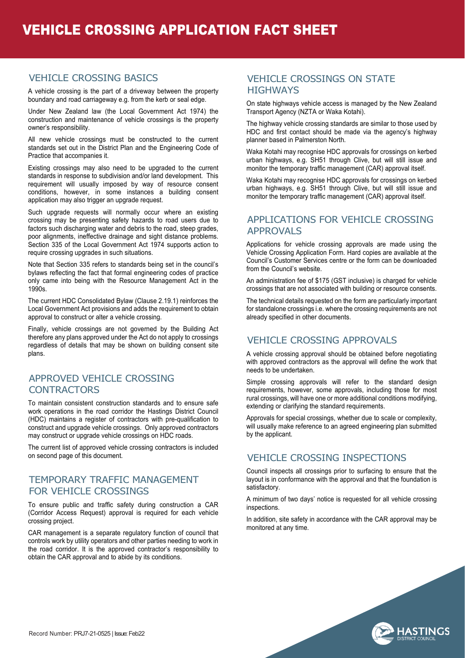#### VEHICLE CROSSING BASICS

A vehicle crossing is the part of a driveway between the property boundary and road carriageway e.g. from the kerb or seal edge.

Under New Zealand law (the Local Government Act 1974) the construction and maintenance of vehicle crossings is the property owner's responsibility.

All new vehicle crossings must be constructed to the current standards set out in the District Plan and the Engineering Code of Practice that accompanies it.

Existing crossings may also need to be upgraded to the current standards in response to subdivision and/or land development. This requirement will usually imposed by way of resource consent conditions, however, in some instances a building consent application may also trigger an upgrade request.

Such upgrade requests will normally occur where an existing crossing may be presenting safety hazards to road users due to factors such discharging water and debris to the road, steep grades, poor alignments, ineffective drainage and sight distance problems. Section 335 of the Local Government Act 1974 supports action to require crossing upgrades in such situations.

Note that Section 335 refers to standards being set in the council's bylaws reflecting the fact that formal engineering codes of practice only came into being with the Resource Management Act in the 1990s.

The current HDC Consolidated Bylaw (Clause 2.19.1) reinforces the Local Government Act provisions and adds the requirement to obtain approval to construct or alter a vehicle crossing.

Finally, vehicle crossings are not governed by the Building Act therefore any plans approved under the Act do not apply to crossings regardless of details that may be shown on building consent site plans.

#### APPROVED VEHICLE CROSSING **CONTRACTORS**

To maintain consistent construction standards and to ensure safe work operations in the road corridor the Hastings District Council (HDC) maintains a register of contractors with pre-qualification to construct and upgrade vehicle crossings. Only approved contractors may construct or upgrade vehicle crossings on HDC roads.

The current list of approved vehicle crossing contractors is included on second page of this document.

#### TEMPORARY TRAFFIC MANAGEMENT FOR VEHICLE CROSSINGS

To ensure public and traffic safety during construction a CAR (Corridor Access Request) approval is required for each vehicle crossing project.

CAR management is a separate regulatory function of council that controls work by utility operators and other parties needing to work in the road corridor. It is the approved contractor's responsibility to obtain the CAR approval and to abide by its conditions.

#### VEHICLE CROSSINGS ON STATE **HIGHWAYS**

On state highways vehicle access is managed by the New Zealand Transport Agency (NZTA or Waka Kotahi).

The highway vehicle crossing standards are similar to those used by HDC and first contact should be made via the agency's highway planner based in Palmerston North.

Waka Kotahi may recognise HDC approvals for crossings on kerbed urban highways, e.g. SH51 through Clive, but will still issue and monitor the temporary traffic management (CAR) approval itself.

Waka Kotahi may recognise HDC approvals for crossings on kerbed urban highways, e.g. SH51 through Clive, but will still issue and monitor the temporary traffic management (CAR) approval itself.

#### APPLICATIONS FOR VEHICLE CROSSING APPROVALS

Applications for vehicle crossing approvals are made using the Vehicle Crossing Application Form. Hard copies are available at the Council's Customer Services centre or the form can be downloaded from the Council's website.

An administration fee of \$175 (GST inclusive) is charged for vehicle crossings that are not associated with building or resource consents.

The technical details requested on the form are particularly important for standalone crossings i.e. where the crossing requirements are not already specified in other documents.

# VEHICLE CROSSING APPROVALS

A vehicle crossing approval should be obtained before negotiating with approved contractors as the approval will define the work that needs to be undertaken.

Simple crossing approvals will refer to the standard design requirements, however, some approvals, including those for most rural crossings, will have one or more additional conditions modifying, extending or clarifying the standard requirements.

Approvals for special crossings, whether due to scale or complexity, will usually make reference to an agreed engineering plan submitted by the applicant.

## VEHICLE CROSSING INSPECTIONS

Council inspects all crossings prior to surfacing to ensure that the layout is in conformance with the approval and that the foundation is satisfactory.

A minimum of two days' notice is requested for all vehicle crossing inspections.

In addition, site safety in accordance with the CAR approval may be monitored at any time.